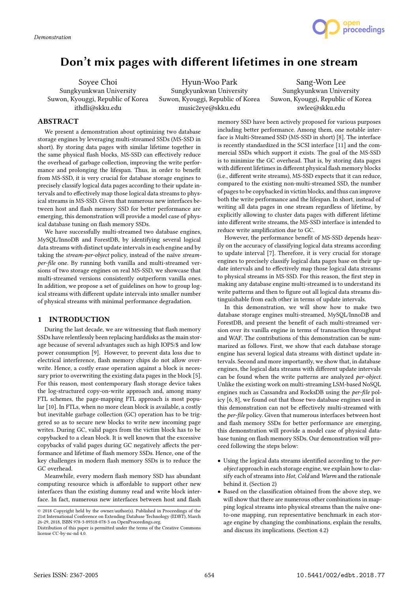

# Don't mix pages with different lifetimes in one stream

Soyee Choi Sungkyunkwan University Suwon, Kyouggi, Republic of Korea ithdli@skku.edu

Hyun-Woo Park Sungkyunkwan University Suwon, Kyouggi, Republic of Korea music2eye@skku.edu

Sang-Won Lee Sungkyunkwan University Suwon, Kyouggi, Republic of Korea swlee@skku.edu

# ABSTRACT

We present a demonstration about optimizing two database storage engines by leveraging multi-streamed SSDs (MS-SSD in short). By storing data pages with similar lifetime together in the same physical flash blocks, MS-SSD can effectively reduce the overhead of garbage collection, improving the write performance and prolonging the lifespan. Thus, in order to benefit from MS-SSD, it is very crucial for database storage engines to precisely classify logical data pages according to their update intervals and to effectively map those logical data streams to physical streams in MS-SSD. Given that numerous new interfaces between host and flash memory SSD for better performance are emerging, this demonstration will provide a model case of physical database tuning on flash memory SSDs.

We have successfully multi-streamed two database engines, MySQL/InnoDB and ForestDB, by identifying several logical data streams with distinct update intervals in each engine and by taking the stream-per-object policy, instead of the naïve streamper-file one. By running both vanilla and multi-streamed versions of two storage engines on real MS-SSD, we showcase that multi-streamed versions consistently outperform vanilla ones. In addition, we propose a set of guidelines on how to group logical streams with different update intervals into smaller number of physical streams with minimal performance degradation.

# 1 INTRODUCTION

During the last decade, we are witnessing that flash memory SSDs have relentlessly been replacing harddisks as the main storage because of several advantages such as high IOPS/\$ and low power consumption [9]. However, to prevent data loss due to electrical interference, flash memory chips do not allow overwrite. Hence, a costly erase operation against a block is necessary prior to overwriting the existing data pages in the block [5]. For this reason, most contemporary flash storage device takes the log-structured copy-on-write approach and, among many FTL schemes, the page-mapping FTL approach is most popular [10]. In FTLs, when no more clean block is available, a costly but inevitable garbage collection (GC) operation has to be triggered so as to secure new blocks to write new incoming page writes. During GC, valid pages from the victim block has to be copybacked to a clean block. It is well known that the excessive copybacks of valid pages during GC negatively affects the performance and lifetime of flash memory SSDs. Hence, one of the key challenges in modern flash memory SSDs is to reduce the GC overhead.

Meanwhile, every modern flash memory SSD has abundant computing resource which is affordable to support other new interfaces than the existing dummy read and write block interface. In fact, numerous new interfaces between host and flash

memory SSD have been actively proposed for various purposes including better performance. Among them, one notable interface is Multi-Streamed SSD (MS-SSD in short) [8]. The interface is recently standardized in the SCSI interface [11] and the commercial SSDs which support it exists. The goal of the MS-SSD is to minimize the GC overhead. That is, by storing data pages with different lifetimes in different physical flash memory blocks  $(i.e., different write streams)$ , MS-SSD expects that it can reduce, compared to the existing non-multi-streamed SSD, the number of pages to be copybacked in victim blocks, and thus can improve both the write performance and the lifespan. In short, instead of writing all data pages in one stream regardless of lifetime, by explicitly allowing to cluster data pages with different lifetime into different write streams, the MS-SSD interface is intended to reduce write amplification due to GC.

However, the performance benefit of MS-SSD depends heavily on the accuracy of classifying logical data streams according to update interval [7]. Therefore, it is very crucial for storage engines to precisely classify logical data pages base on their update intervals and to effectively map those logical data streams to physical streams in MS-SSD. For this reason, the first step in making any database engine multi-streamed is to understand its write patterns and then to figure out all logical data streams distinguishable from each other in terms of update intervals.

In this demonstration, we will show how to make two database storage engines multi-streamed, MySQL/InnoDB and ForestDB, and present the benefit of each multi-streamed version over its vanilla engine in terms of transaction throughput and WAF. The contributions of this demonstration can be summarized as follows. First, we show that each database storage engine has several logical data streams with distinct update intervals. Second and more importantly, we show that, in database engines, the logical data streams with different update intervals can be found when the write patterns are analyzed per-object. Unlike the existing work on multi-streaming LSM-based NoSQL engines such as Cassandra and RocksDB using the per-file policy [6, 8], we found out that those two database engines used in this demonstration can not be effectively multi-streamed with the *per-file* policy. Given that numerous interfaces between host and flash memory SSDs for better performance are emerging, this demonstration will provide a model case of physical database tuning on flash memory SSDs. Our demonstration will proceed following the steps below:

- $\bullet$  Using the logical data streams identified according to the *per*object approach in each storage engine, we explain how to classify each of streams into Hot, Cold and Warm and the rationale behind it. (Section 2)
- Based on the classification obtained from the above step, we will show that there are numerous other combinations in mapping logical streams into physical streams than the naïve oneto-one mapping, run representative benchmark in each storage engine by changing the combinations, explain the results, and discuss its implications. (Section 4.2)

 $\odot$  2018 Copyright held by the owner/author(s). Published in Proceedings of the 21st International Conference on Extending Database Technology (EDBT), March 26-29, 2018, ISBN 978-3-89318-078-3 on OpenProceedings.org.

Distribution of this paper is permitted under the terms of the Creative Commons license CC-by-nc-nd 4.0.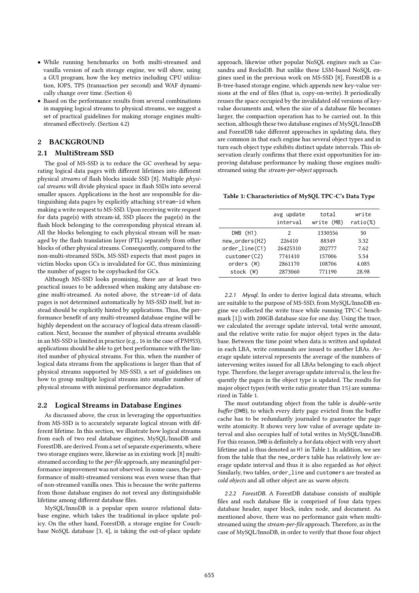- While running benchmarks on both multi-streamed and vanilla version of each storage engine, we will show, using a GUI program, how the key metrics including CPU utilization, IOPS, TPS (transaction per second) and WAF dynamically change over time. (Section 4)
- Based on the performance results from several combinations in mapping logical streams to physical streams, we suggest a set of practical guidelines for making storage engines multistreamed effectively. (Section 4.2)

# 2 BACKGROUND

### 2.1 MultiStream SSD

The goal of MS-SSD is to reduce the GC overhead by separating logical data pages with different lifetimes into different physical streams of flash blocks inside SSD [8]. Multiple physical streams will divide physical space in flash SSDs into several smaller spaces. Applications in the host are responsible for distinguishing data pages by explicitly attaching stream-id when making a write request to MS-SSD. Upon receiving write request for data page(s) with stream-id, SSD places the page(s) in the flash block belonging to the corresponding physical stream id. All the blocks belonging to each physical stream will be managed by the flash translation layer (FTL) separately from other blocks of other physical streams. Consequently, compared to the non-multi-streamed SSDs, MS-SSD expects that most pages in victim blocks upon GCs is invalidated for GC, thus minimizing the number of pages to be copybacked for GCs.

Although MS-SSD looks promising, there are at least two practical issues to be addressed when making any database engine multi-streamed. As noted above, the stream-id of data pages is not determined automatically by MS-SSD itself, but instead should be explicitly hinted by applications. Thus, the performance benefit of any multi-streamed database engine will be highly dependent on the accuracy of logical data stream classification. Next, because the number of physical streams available in an MS-SSD is limited in practice (e.g., 16 in the case of PM953), applications should be able to get best performance with the limited number of physical streams. For this, when the number of logical data streams from the applications is larger than that of physical streams supported by MS-SSD, a set of guidelines on how to group multiple logical streams into smaller number of physical streams with minimal performance degradation.

#### 2.2 Logical Streams in Database Engines

As discussed above, the crux in leveraging the opportunities from MS-SSD is to accurately separate logical stream with different lifetime. In this section, we illustrate how logical streams from each of two real database engines, MySQL/InnoDB and ForestDB, are derived. From a set of separate experiments, where two storage engines were, likewise as in existing work [8] multistreamed according to the per-file approach, any meaningful performance improvement was not observed. In some cases, the performance of multi-streamed versions was even worse than that of non-streamed vanilla ones. This is because the write patterns from those database engines do not reveal any distinguishable lifetime among different database files.

MySQL/InnoDB is a popular open source relational database engine, which takes the traditional in-place update policy. On the other hand, ForestDB, a storage engine for Couchbase NoSQL database [3, 4], is taking the out-of-place update

approach, likewise other popular NoSQL engines such as Cassandra and RocksDB. But unlike these LSM-based NoSQL engines used in the previous work on MS-SSD [8], ForestDB is a B-tree-based storage engine, which appends new key-value versions at the end of files (that is, copy-on-write). It periodically reuses the space occupied by the invalidated old versions of keyvalue documents and, when the size of a database file becomes larger, the compaction operation has to be carried out. In this section, although these two database engines of MySQL/InnoDB and ForestDB take different approaches in updating data, they are common in that each engine has several object types and in turn each object type exhibits distinct update intervals. This observation clearly confirms that there exist opportunities for improving database performance by making those engines multistreamed using the *stream-per-object* approach.

Table 1: Characteristics of MySQL TPC-C's Data Type

|                     | avg update<br>interval | total<br>write (MB) | write<br>$ratio(\%)$ |
|---------------------|------------------------|---------------------|----------------------|
| $DWB$ $(H1)$        | 2                      | 1330556             | 50                   |
| new_orders(H2)      | 226410                 | 88349               | 3.32                 |
| $order$ line $(C1)$ | 26425310               | 202777              | 7.62                 |
| customer(C2)        | 7741410                | 157006              | 5.54                 |
| orders (W)          | 2861170                | 108706              | 4.085                |
| stock<br>(W)        | 2873060                | 771190              | 28.98                |

2.2.1 Mysql. In order to derive logical data streams, which are suitable to the purpose of MS-SSD, from MySQL/InnoDB engine we collected the write trace while running TPC-C benchmark [1]) with 200GB database size for one day. Using the trace, we calculated the average update interval, total write amount, and the relative write ratio for major object types in the database. Between the time point when data is written and updated in each LBA, write commands are issued to another LBAs. Average update interval represents the average of the numbers of intervening writes issued for all LBAs belonging to each object type. Therefore, the larger average update interval is, the less frequently the pages in the object type is updated. The results for major object types (with write ratio greater than 1%) are summarized in Table 1.

The most outstanding object from the table is double-write buffer (DWB), to which every dirty page evicted from the buffer cache has to be redundantly journaled to guarantee the page write atomicity. It shows very low value of average update interval and also occupies half of total writes in MySQL/InnoDB. For this reason, DWB is definitely a *hot* data object with very short lifetime and is thus denoted as H1 in Table 1. In addition, we see from the table that the new\_orders table has relatively low average update interval and thus it is also regarded as hot object. Similarly, two tables, order\_line and customers are treated as cold objects and all other object are as warm objects.

2.2.2 ForestDB. A ForestDB database consists of multiple files and each database file is comprised of four data types: database header, super block, index node, and document. As mentioned above, there was no performance gain when multistreamed using the stream-per-file approach. Therefore, as in the case of MySQL/InnoDB, in order to verify that those four object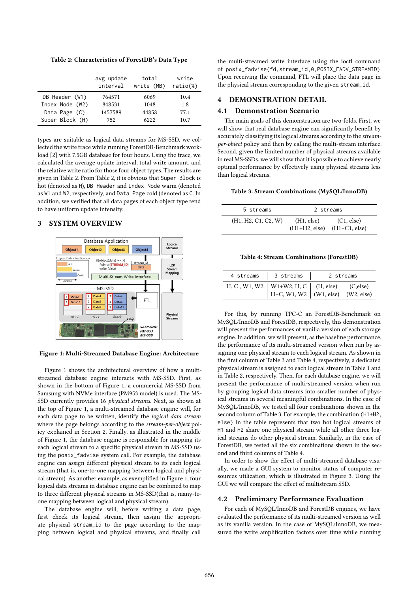Table 2: Characteristics of ForestDB's Data Type

|                 | avg update<br>interval | total<br>write (MB) | write<br>$ratio(\%)$ |
|-----------------|------------------------|---------------------|----------------------|
| DB Header (W1)  | 764571                 | 6069                | 10.4                 |
| Index Node (W2) | 848531                 | 1048                | 1.8                  |
| Data Page (C)   | 1457589                | 44858               | 77.1                 |
| Super Block (H) | 752                    | 6222                | 10.7                 |

types are suitable as logical data streams for MS-SSD, we collected the write trace while running ForestDB-Benchmark workload [2] with 7.5GB database for four hours. Using the trace, we calculated the average update interval, total write amount, and the relative write ratio for those four object types. The results are given in Table 2. From Table 2, it is obvious that Super Block is hot (denoted as H), DB Header and Index Node warm (denoted as W1 and W2, respectively, and Data Page cold (denoted as C. In addition, we verified that all data pages of each object type tend to have uniform update intensity.

## 3 SYSTEM OVERVIEW



Figure 1: Multi-Streamed Database Engine: Architecture

Figure 1 shows the architectural overview of how a multistreamed database engine interacts with MS-SSD. First, as shown in the bottom of Figure 1, a commercial MS-SSD from Samsung with NVMe interface (PM953 model) is used. The MS-SSD currently provides 16 physical streams. Next, as shown at the top of Figure 1, a multi-streamed database engine will, for each data page to be written, identify the logical data stream where the page belongs according to the stream-per-object policy explained in Section 2. Finally, as illustrated in the middle of Figure 1, the database engine is responsible for mapping its each logical stream to a specific physical stream in MS-SSD using the posix\_fadvise system call. For example, the database engine can assign different physical stream to its each logical stream (that is, one-to-one mapping between logical and physical stream). As another example, as exemplified in Figure 1, four logical data streams in database engine can be combined to map to three different physical streams in MS-SSD(that is, many-toone mapping between logical and physical stream).

The database engine will, before writing a data page, first check its logical stream, then assign the appropriate physical stream\_id to the page according to the mapping between logical and physical streams, and finally call

the multi-streamed write interface using the ioctl command of posix\_fadvise(fd,stream\_id,0,POSIX\_FADV\_STREAMID). Upon receiving the command, FTL will place the data page in the physical stream corresponding to the given stream\_id.

# 4 DEMONSTRATION DETAIL

#### 4.1 Demonstration Scenario

The main goals of this demonstration are two-folds. First, we will show that real database engine can significantly benefit by accurately classifying its logical streams according to the streamper-object policy and then by calling the multi-stream interface. Second, given the limited number of physical streams available in real MS-SSDs, we will show that it is possible to achieve nearly optimal performance by effectively using physical streams less than logical streams.

#### Table 3: Stream Combinations (MySQL/InnoDB)

| 5 streams                                          | 2 streams |                               |
|----------------------------------------------------|-----------|-------------------------------|
| (H1, H2, C1, C2, W)<br>(H1, else)<br>(H1+H2, else) |           | (C1, else)<br>$(H1+C1, else)$ |

#### Table 4: Stream Combinations (ForestDB)

| 4 streams | 3 streams                                                                                     | 2 streams |  |
|-----------|-----------------------------------------------------------------------------------------------|-----------|--|
|           | $H, C, W1, W2$   W1+W2, $H, C$   (H, else) (C, else)<br>$H+C, W1, W2$   (W1, else) (W2, else) |           |  |

For this, by running TPC-C an ForestDB-Benchmark on MySQL/InnoDB and ForestDB, respectively, this demonstration will present the performances of vanilla version of each storage engine. In addition, we will present, as the baseline performance, the performance of its multi-streamed version when run by assigning one physical stream to each logical stream. As shown in the first column of Table 3 and Table 4, respectively, a dedicated physical stream is assigned to each logical stream in Table 1 and in Table 2, respectively. Then, for each database engine, we will present the performance of multi-streamed version when run by grouping logical data streams into smaller number of physical streams in several meaningful combinations. In the case of MySQL/InnoDB, we tested all four combinations shown in the second column of Table 3. For example, the combination (H1+H2, else) in the table represents that two hot logical streams of H1 and H2 share one physical stream while all other three logical streams do other physical stream. Similarly, in the case of ForestDB, we tested all the six combinations shown in the second and third columns of Table 4.

In order to show the effect of multi-streamed database visually, we made a GUI system to monitor status of computer resources utilization, which is illustrated in Figure 3. Using the GUI we will compare the effect of multistream SSD.

#### 4.2 Preliminary Performance Evaluation

For each of MySQL/InnoDB and ForestDB engines, we have evaluated the performance of its multi-streamed version as well as its vanilla version. In the case of MySQL/InnoDB, we measured the write amplification factors over time while running